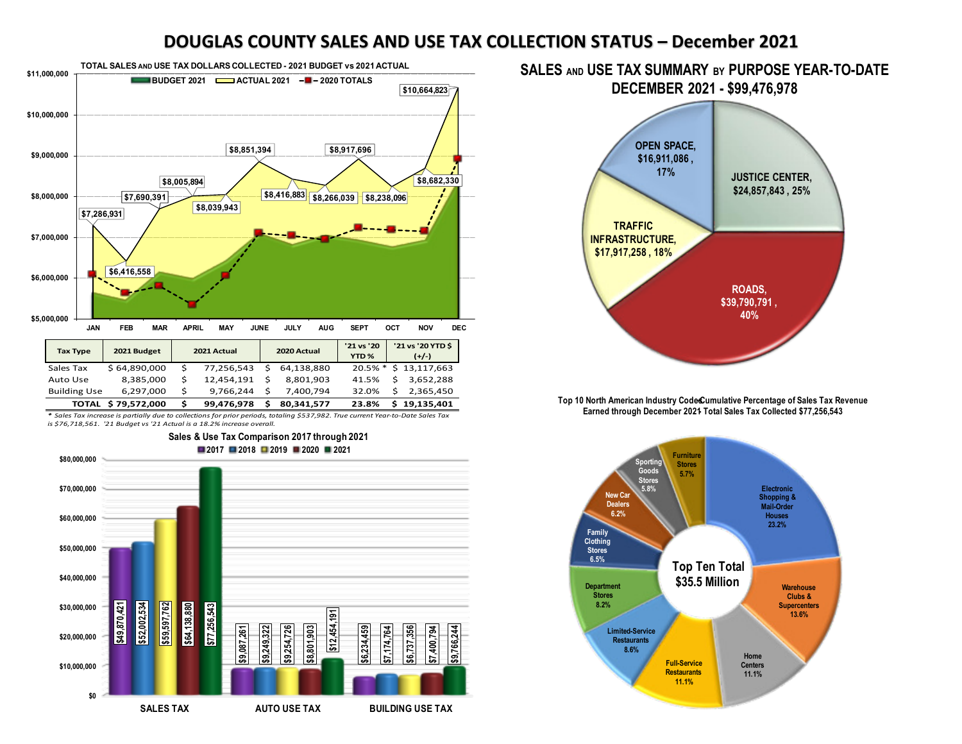## **DOUGLAS COUNTY SALES AND USE TAX COLLECTION STATUS – December 2021**



*\* Sales Tax increase is partially due to collections for prior periods, totaling \$537,982. True current Year-to-Date Sales Tax is \$76,718,561. '21 Budget vs '21 Actual is a 18.2% increase overall.* 



## **SALES AND USE TAX SUMMARY BY PURPOSE YEAR-TO-DATE DECEMBER 2021 - \$99,476,978**



Top 10 North American Industry Code Cumulative Percentage of Sales Tax Revenue Earned through December 2021 Total Sales Tax Collected \$77,256,543